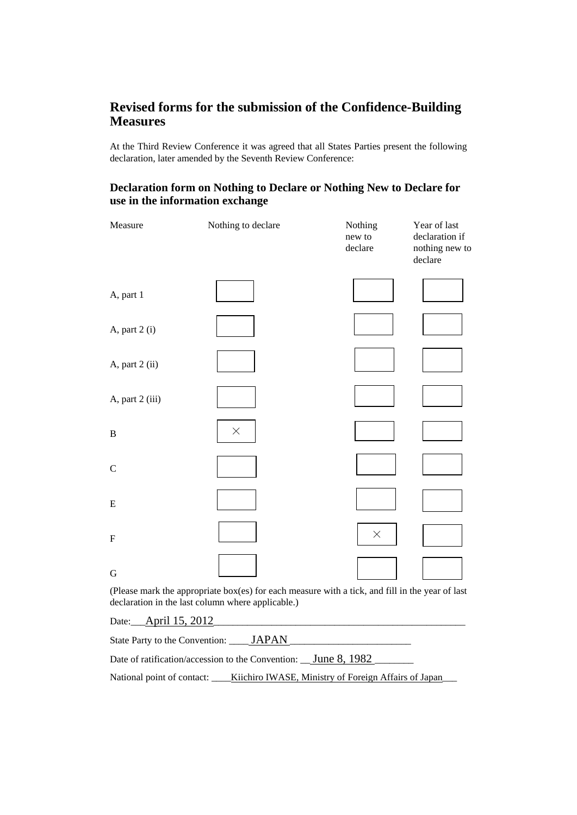## **Revised forms for the submission of the Confidence-Building Measures**

At the Third Review Conference it was agreed that all States Parties present the following declaration, later amended by the Seventh Review Conference:

## **Declaration form on Nothing to Declare or Nothing New to Declare for use in the information exchange**

| Measure         | Nothing to declare                                                                              | Nothing<br>new to<br>declare | Year of last<br>declaration if<br>nothing new to<br>declare |
|-----------------|-------------------------------------------------------------------------------------------------|------------------------------|-------------------------------------------------------------|
| A, part 1       |                                                                                                 |                              |                                                             |
| A, part 2 (i)   |                                                                                                 |                              |                                                             |
| A, part 2 (ii)  |                                                                                                 |                              |                                                             |
| A, part 2 (iii) |                                                                                                 |                              |                                                             |
| $\mathbf{B}$    | $\times$                                                                                        |                              |                                                             |
| $\mathcal{C}$   |                                                                                                 |                              |                                                             |
| E               |                                                                                                 |                              |                                                             |
| ${\bf F}$       |                                                                                                 | $\times$                     |                                                             |
| G               |                                                                                                 |                              |                                                             |
|                 | (Please mark the appropriate box(es) for each measure with a tick, and fill in the year of last |                              |                                                             |

(Please mark the appropriate box(es) for each measure with a tick, and fill in the year of last declaration in the last column where applicable.)

Date: April 15, 2012

State Party to the Convention: \_\_\_\_\_ JAPAN Date of ratification/accession to the Convention: \_\_\_\_ June 8, 1982 National point of contact: \_\_\_\_ Kiichiro IWASE, Ministry of Foreign Affairs of Japan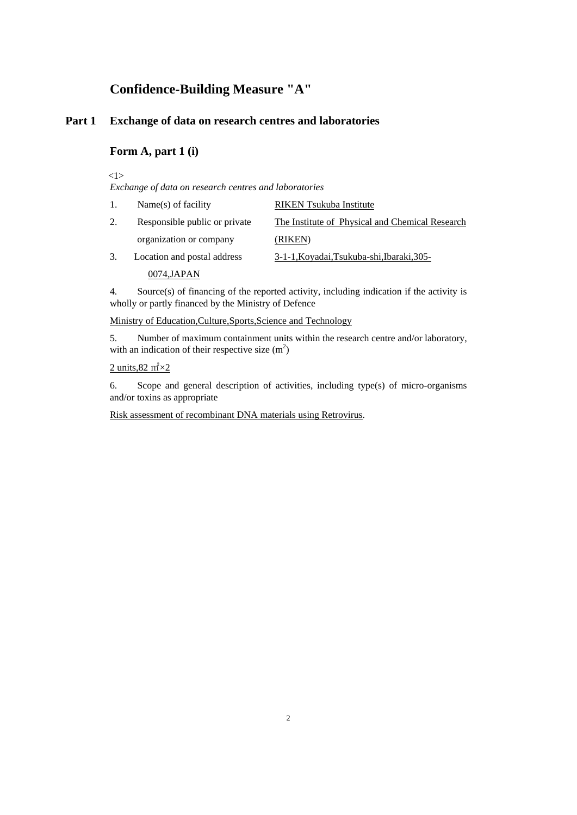## **Confidence-Building Measure "A"**

## **Part 1 Exchange of data on research centres and laboratories**

## **Form A, part 1 (i)**

<1>

*Exchange of data on research centres and laboratories*

| 1. | Name(s) of facility           | <b>RIKEN</b> Tsukuba Institute                  |
|----|-------------------------------|-------------------------------------------------|
| 2. | Responsible public or private | The Institute of Physical and Chemical Research |
|    | organization or company       | (RIKEN)                                         |
| 3. | Location and postal address   | 3-1-1, Koyadai, Tsukuba-shi, Ibaraki, 305-      |

0074,JAPAN

4. Source(s) of financing of the reported activity, including indication if the activity is wholly or partly financed by the Ministry of Defence

Ministry of Education,Culture,Sports,Science and Technology

5. Number of maximum containment units within the research centre and/or laboratory, with an indication of their respective size  $(m^2)$ 

### 2 units,  $82 \text{ m}^2 \times 2$

6. Scope and general description of activities, including type(s) of micro-organisms and/or toxins as appropriate

Risk assessment of recombinant DNA materials using Retrovirus.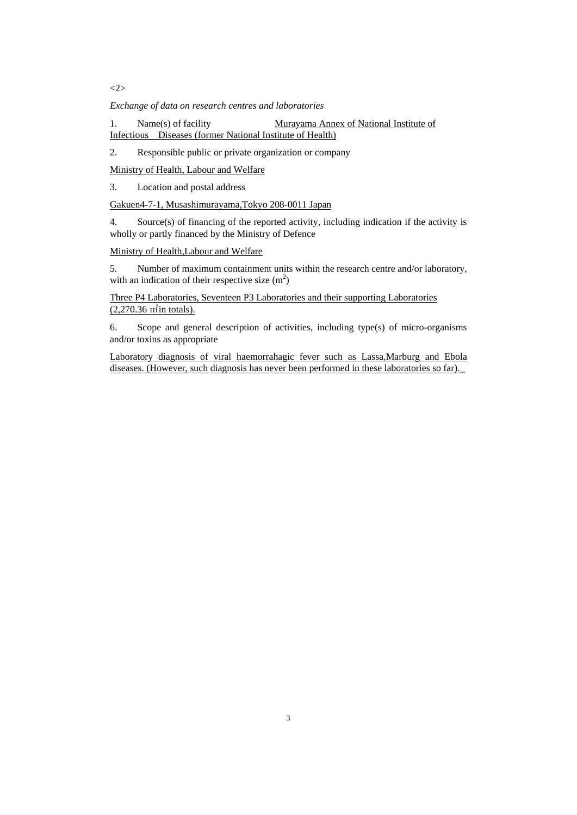<2>

*Exchange of data on research centres and laboratories*

1. Name(s) of facility Murayama Annex of National Institute of Infectious Diseases (former National Institute of Health)

2. Responsible public or private organization or company

Ministry of Health, Labour and Welfare

3. Location and postal address

Gakuen4-7-1, Musashimurayama,Tokyo 208-0011 Japan

4. Source(s) of financing of the reported activity, including indication if the activity is wholly or partly financed by the Ministry of Defence

Ministry of Health,Labour and Welfare

5. Number of maximum containment units within the research centre and/or laboratory, with an indication of their respective size  $(m^2)$ 

Three P4 Laboratories, Seventeen P3 Laboratories and their supporting Laboratories (2,270.36 ㎡in totals).

6. Scope and general description of activities, including type(s) of micro-organisms and/or toxins as appropriate

Laboratory diagnosis of viral haemorrahagic fever such as Lassa,Marburg and Ebola diseases. (However, such diagnosis has never been performed in these laboratories so far).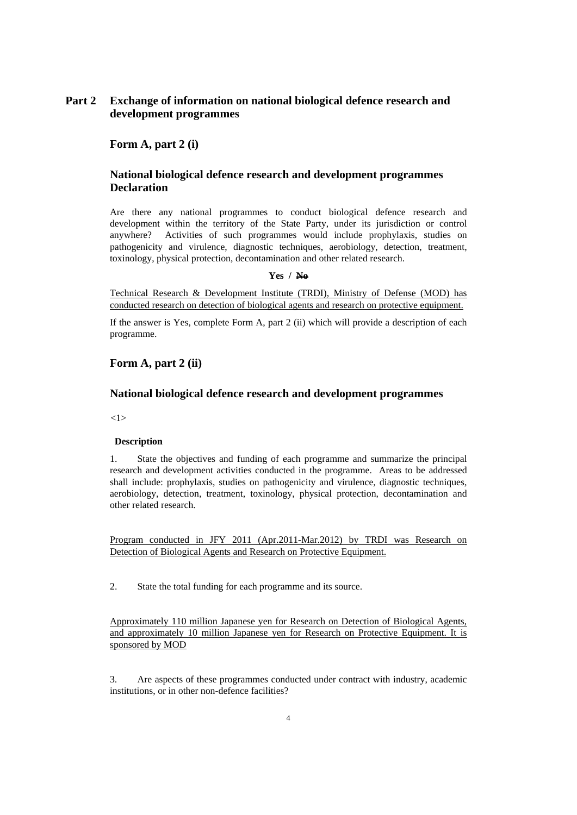## **Part 2 Exchange of information on national biological defence research and development programmes**

 **Form A, part 2 (i)** 

## **National biological defence research and development programmes Declaration**

Are there any national programmes to conduct biological defence research and development within the territory of the State Party, under its jurisdiction or control anywhere? Activities of such programmes would include prophylaxis, studies on pathogenicity and virulence, diagnostic techniques, aerobiology, detection, treatment, toxinology, physical protection, decontamination and other related research.

#### **Yes / No**

Technical Research & Development Institute (TRDI), Ministry of Defense (MOD) has conducted research on detection of biological agents and research on protective equipment.

If the answer is Yes, complete Form A, part 2 (ii) which will provide a description of each programme.

### **Form A, part 2 (ii)**

### **National biological defence research and development programmes**

 $<1>$ 

#### **Description**

1. State the objectives and funding of each programme and summarize the principal research and development activities conducted in the programme. Areas to be addressed shall include: prophylaxis, studies on pathogenicity and virulence, diagnostic techniques, aerobiology, detection, treatment, toxinology, physical protection, decontamination and other related research.

Program conducted in JFY 2011 (Apr.2011-Mar.2012) by TRDI was Research on Detection of Biological Agents and Research on Protective Equipment.

2. State the total funding for each programme and its source.

Approximately 110 million Japanese yen for Research on Detection of Biological Agents, and approximately 10 million Japanese yen for Research on Protective Equipment. It is sponsored by MOD

3. Are aspects of these programmes conducted under contract with industry, academic institutions, or in other non-defence facilities?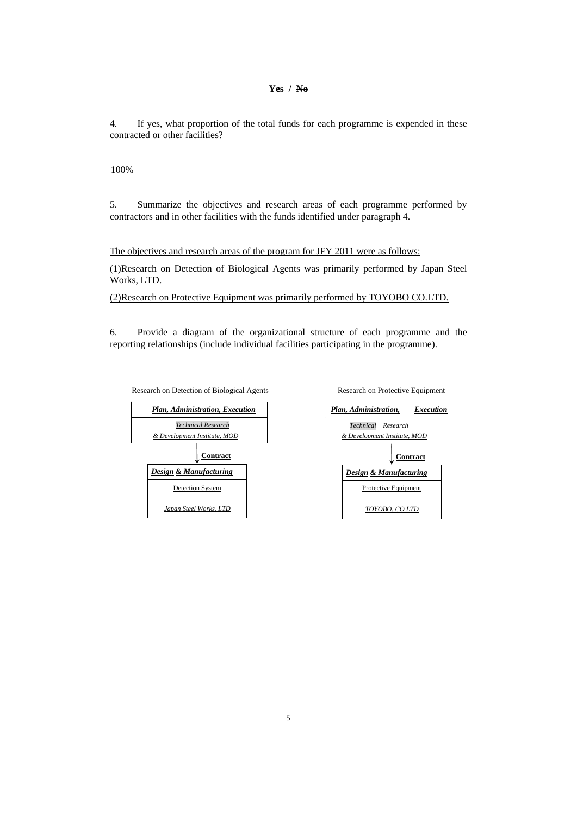#### **Yes / No**

4. If yes, what proportion of the total funds for each programme is expended in these contracted or other facilities?

#### 100%

5. Summarize the objectives and research areas of each programme performed by contractors and in other facilities with the funds identified under paragraph 4.

The objectives and research areas of the program for JFY 2011 were as follows:

(1)Research on Detection of Biological Agents was primarily performed by Japan Steel Works, LTD.

(2)Research on Protective Equipment was primarily performed by TOYOBO CO.LTD.

6. Provide a diagram of the organizational structure of each programme and the reporting relationships (include individual facilities participating in the programme).





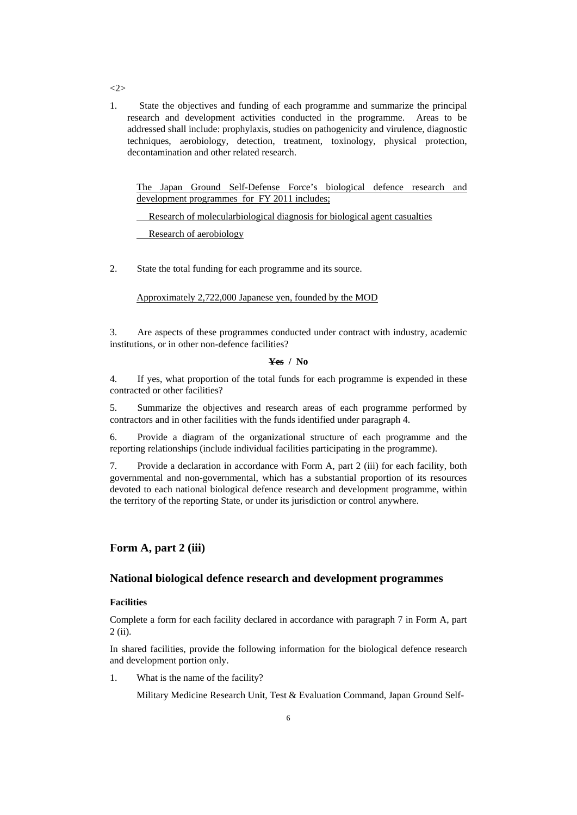1.State the objectives and funding of each programme and summarize the principal research and development activities conducted in the programme. Areas to be addressed shall include: prophylaxis, studies on pathogenicity and virulence, diagnostic techniques, aerobiology, detection, treatment, toxinology, physical protection, decontamination and other related research.

The Japan Ground Self-Defense Force's biological defence research and development programmes for FY 2011 includes;

Research of molecularbiological diagnosis for biological agent casualties

Research of aerobiology

2. State the total funding for each programme and its source.

Approximately 2,722,000 Japanese yen, founded by the MOD

3. Are aspects of these programmes conducted under contract with industry, academic institutions, or in other non-defence facilities?

#### **Yes / No**

4. If yes, what proportion of the total funds for each programme is expended in these contracted or other facilities?

5. Summarize the objectives and research areas of each programme performed by contractors and in other facilities with the funds identified under paragraph 4.

6. Provide a diagram of the organizational structure of each programme and the reporting relationships (include individual facilities participating in the programme).

7. Provide a declaration in accordance with Form A, part 2 (iii) for each facility, both governmental and non-governmental, which has a substantial proportion of its resources devoted to each national biological defence research and development programme, within the territory of the reporting State, or under its jurisdiction or control anywhere.

### **Form A, part 2 (iii)**

### **National biological defence research and development programmes**

#### **Facilities**

Complete a form for each facility declared in accordance with paragraph 7 in Form A, part 2 (ii).

In shared facilities, provide the following information for the biological defence research and development portion only.

1. What is the name of the facility?

Military Medicine Research Unit, Test & Evaluation Command, Japan Ground Self-

 $\sim$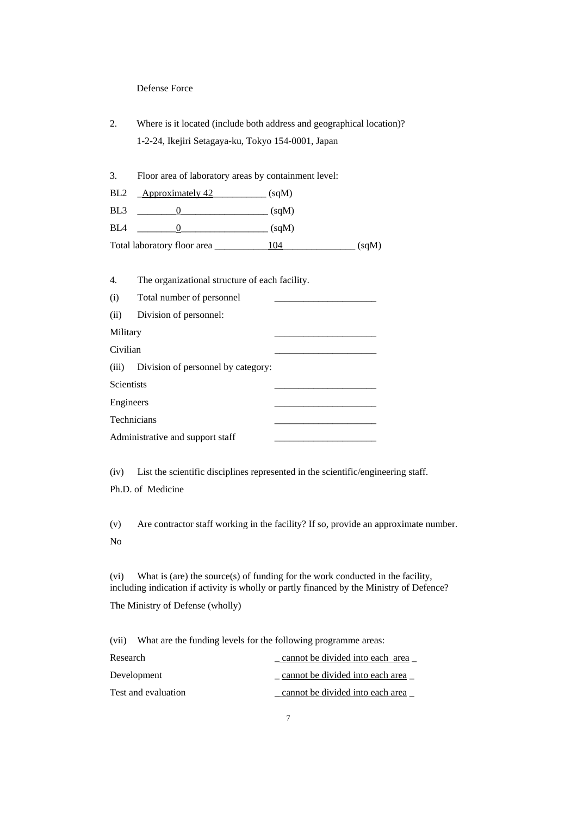#### Defense Force

2. Where is it located (include both address and geographical location)? 1-2-24, Ikejiri Setagaya-ku, Tokyo 154-0001, Japan

3. Floor area of laboratory areas by containment level:

BL2 \_\_\_<u>Approximately 42</u>\_\_\_\_\_\_\_\_\_\_\_\_ (sqM)

BL3  $_0$   $(sqM)$ 

 $BL4$   $0$   $(sqM)$ 

Total laboratory floor area \_\_\_\_\_\_\_\_\_\_\_104\_\_\_\_\_\_\_\_\_\_\_\_\_\_\_ (sqM)

4. The organizational structure of each facility.

| (i) | Total number of personnel |  |
|-----|---------------------------|--|
|     |                           |  |

| (ii)<br>Division of personnel: |  |
|--------------------------------|--|
|--------------------------------|--|

Military \_\_\_\_\_\_\_\_\_\_\_\_\_\_\_\_\_\_\_\_\_

Civilian

(iii) Division of personnel by category:

Scientists \_\_\_\_\_\_\_\_\_\_\_\_\_\_\_\_\_\_\_\_\_

| Engineers |  |
|-----------|--|
|           |  |

| Technicians                      |  |
|----------------------------------|--|
| Administrative and support staff |  |

(iv) List the scientific disciplines represented in the scientific/engineering staff.

Ph.D. of Medicine

(v) Are contractor staff working in the facility? If so, provide an approximate number. No

(vi) What is (are) the source(s) of funding for the work conducted in the facility, including indication if activity is wholly or partly financed by the Ministry of Defence?

The Ministry of Defense (wholly)

(vii) What are the funding levels for the following programme areas:

| Research            | cannot be divided into each area |
|---------------------|----------------------------------|
| Development         | cannot be divided into each area |
| Test and evaluation | cannot be divided into each area |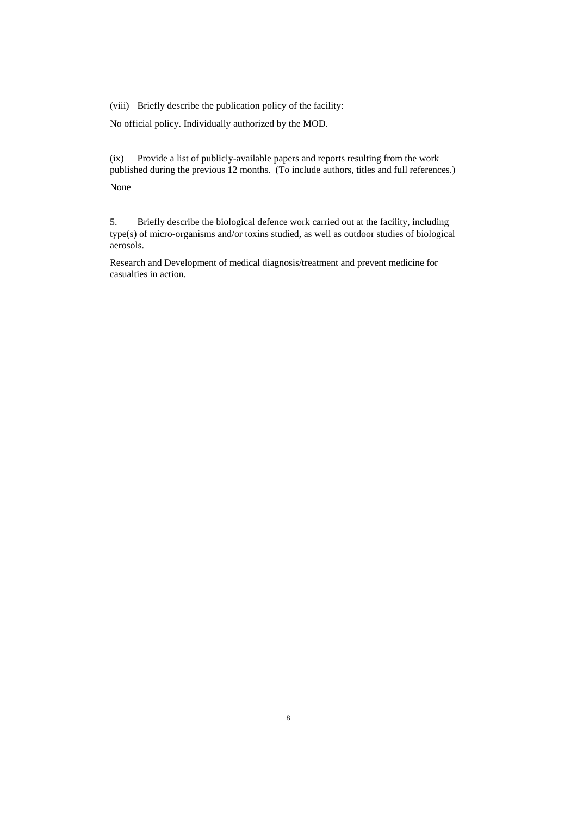(viii) Briefly describe the publication policy of the facility:

No official policy. Individually authorized by the MOD.

(ix) Provide a list of publicly-available papers and reports resulting from the work published during the previous 12 months. (To include authors, titles and full references.) None

5. Briefly describe the biological defence work carried out at the facility, including type(s) of micro-organisms and/or toxins studied, as well as outdoor studies of biological aerosols.

Research and Development of medical diagnosis/treatment and prevent medicine for casualties in action.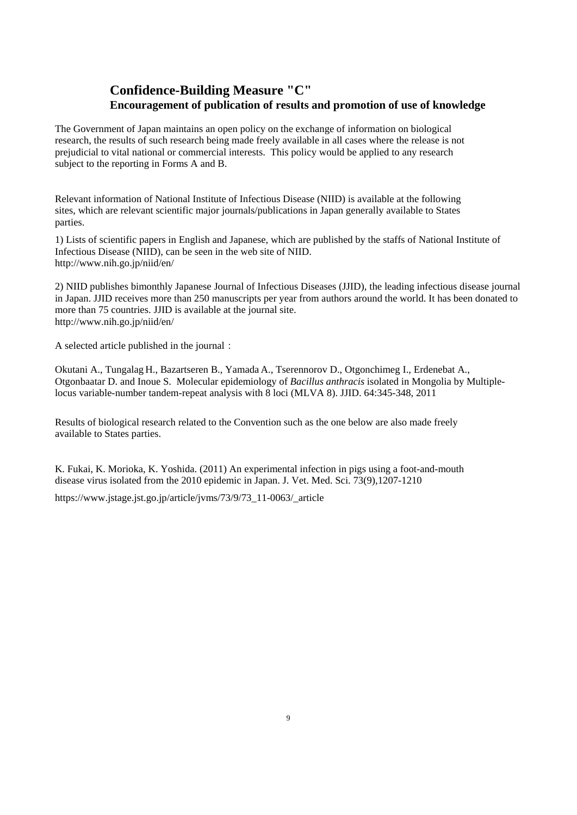## **Confidence-Building Measure "C" Encouragement of publication of results and promotion of use of knowledge**

The Government of Japan maintains an open policy on the exchange of information on biological research, the results of such research being made freely available in all cases where the release is not prejudicial to vital national or commercial interests. This policy would be applied to any research subject to the reporting in Forms A and B.

Relevant information of National Institute of Infectious Disease (NIID) is available at the following sites, which are relevant scientific major journals/publications in Japan generally available to States parties.

1) Lists of scientific papers in English and Japanese, which are published by the staffs of National Institute of Infectious Disease (NIID), can be seen in the web site of NIID. <http://www.nih.go.jp/niid/en/>

2) NIID publishes bimonthly Japanese Journal of Infectious Diseases (JJID), the leading infectious disease journal in Japan. JJID receives more than 250 manuscripts per year from authors around the world. It has been donated to more than 75 countries. JJID is available at the journal site. <http://www.nih.go.jp/niid/en/>

A selected article published in the journal:

Okutani A., Tungalag H., Bazartseren B., Yamada A., Tserennorov D., Otgonchimeg I., Erdenebat A., Otgonbaatar D. and Inoue S. Molecular epidemiology of *Bacillus anthracis* isolated in Mongolia by Multiplelocus variable-number tandem-repeat analysis with 8 loci (MLVA 8). JJID. 64:345-348, 2011

Results of biological research related to the Convention such as the one below are also made freely available to States parties.

K. Fukai, K. Morioka, K. Yoshida. (2011) An experimental infection in pigs using a foot-and-mouth disease virus isolated from the 2010 epidemic in Japan. J. Vet. Med. Sci. 73(9),1207-1210

[https://www.jstage.jst.go.jp/article/jvms/73/9/73\\_11-0063/\\_article](https://www.jstage.jst.go.jp/article/jvms/73/9/73_11-0063/_article)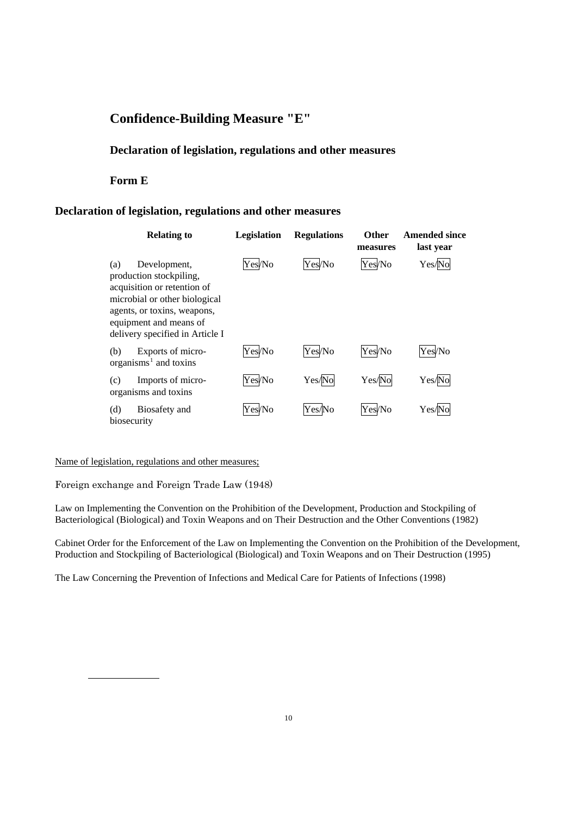# **Confidence-Building Measure "E"**

## **Declaration of legislation, regulations and other measures**

## **Form E**

## **Declaration of legislation, regulations and other measures**

| <b>Relating to</b>                                                                                                                                                                                         | Legislation | <b>Regulations</b> | <b>Other</b><br>measures | <b>Amended since</b><br>last year |
|------------------------------------------------------------------------------------------------------------------------------------------------------------------------------------------------------------|-------------|--------------------|--------------------------|-----------------------------------|
| Development,<br>(a)<br>production stockpiling,<br>acquisition or retention of<br>microbial or other biological<br>agents, or toxins, weapons,<br>equipment and means of<br>delivery specified in Article I | Yes/No      | Yes/No             | Yes/No                   | Yes/No                            |
| Exports of micro-<br>(b)<br>organisms <sup>1</sup> and toxins                                                                                                                                              | Yes/No      | Yes/No             | Yes/No                   | Yes/No                            |
| Imports of micro-<br>(c)<br>organisms and toxins                                                                                                                                                           | Yes/No      | Yes/No             | Yes/No                   | Yes/No                            |
| (d)<br>Biosafety and<br>biosecurity                                                                                                                                                                        | Yes/No      | Yes/No             | Yes/No                   | Yes/N                             |

#### Name of legislation, regulations and other measures;

Foreign exchange and Foreign Trade Law (1948)

Law on Implementing the Convention on the Prohibition of the Development, Production and Stockpiling of Bacteriological (Biological) and Toxin Weapons and on Their Destruction and the Other Conventions (1982)

Cabinet Order for the Enforcement of the Law on Implementing the Convention on the Prohibition of the Development, Production and Stockpiling of Bacteriological (Biological) and Toxin Weapons and on Their Destruction (1995)

<span id="page-9-0"></span>The Law Concerning the Prevention of Infections and Medical Care for Patients of Infections (1998)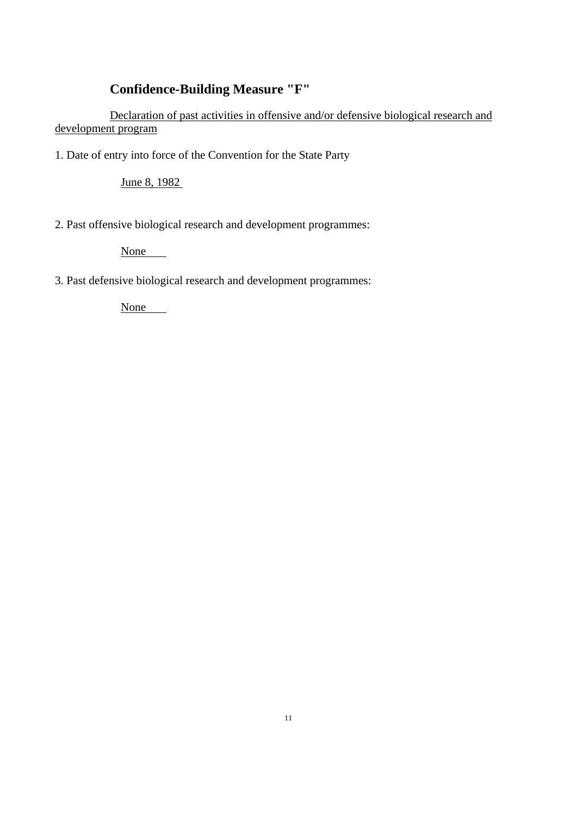# **Confidence-Building Measure "F"**

 Declaration of past activities in offensive and/or defensive biological research and development program

1. Date of entry into force of the Convention for the State Party

June 8, 1982

2. Past offensive biological research and development programmes:

None

3. Past defensive biological research and development programmes:

None